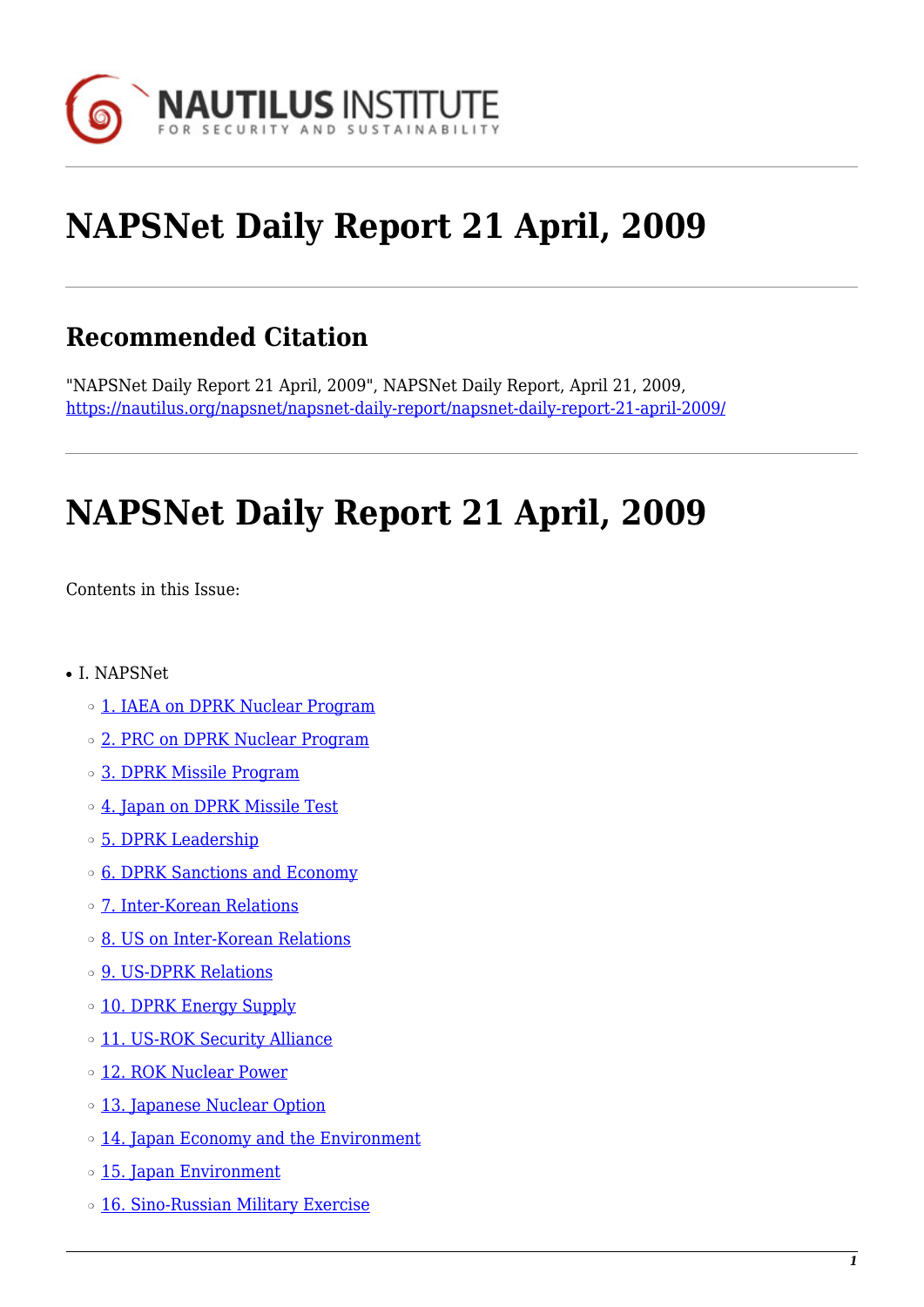

# **NAPSNet Daily Report 21 April, 2009**

# **Recommended Citation**

"NAPSNet Daily Report 21 April, 2009", NAPSNet Daily Report, April 21, 2009, <https://nautilus.org/napsnet/napsnet-daily-report/napsnet-daily-report-21-april-2009/>

# **NAPSNet Daily Report 21 April, 2009**

<span id="page-0-0"></span>Contents in this Issue:

- I. NAPSNet
	- o [1. IAEA on DPRK Nuclear Program](#page-1-0)
	- ❍ [2. PRC on DPRK Nuclear Program](#page-2-0)
	- ❍ [3. DPRK Missile Program](#page-2-1)
	- ❍ [4. Japan on DPRK Missile Test](#page-2-2)
	- ❍ [5. DPRK Leadership](#page-2-3)
	- ❍ [6. DPRK Sanctions and Economy](#page-3-0)
	- ❍ [7. Inter-Korean Relations](#page-3-1)
	- ❍ [8. US on Inter-Korean Relations](#page-3-2)
	- ❍ [9. US-DPRK Relations](#page-4-0)
	- o [10. DPRK Energy Supply](#page-4-1)
	- o [11. US-ROK Security Alliance](#page-4-2)
	- ❍ [12. ROK Nuclear Power](#page-4-3)
	- ❍ [13. Japanese Nuclear Option](#page-5-0)
	- ❍ [14. Japan Economy and the Environment](#page-5-1)
	- o [15. Japan Environment](#page-5-2)
	- o [16. Sino-Russian Military Exercise](#page-5-3)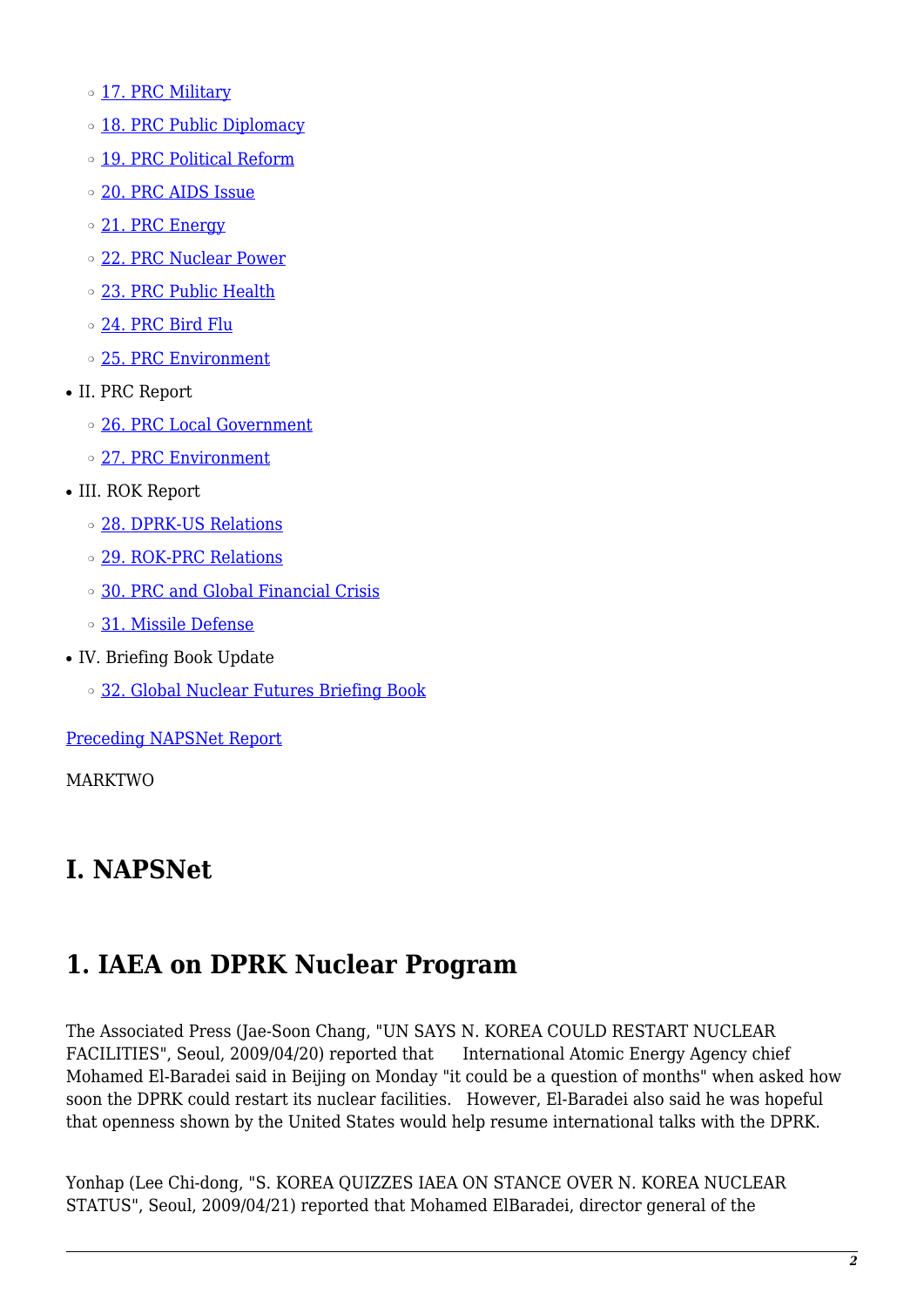o [17. PRC Military](#page-6-0)

- **o** [18. PRC Public Diplomacy](#page-6-1)
- o [19. PRC Political Reform](#page-6-2)
- ❍ [20. PRC AIDS Issue](#page-7-0)
- o [21. PRC Energy](#page-7-1)
- ❍ [22. PRC Nuclear Power](#page-7-2)
- ❍ [23. PRC Public Health](#page-7-3)
- o [24. PRC Bird Flu](#page-8-0)
- ❍ [25. PRC Environment](#page-8-1)
- II. PRC Report
	- ❍ [26. PRC Local Government](#page-8-2)
	- ❍ [27. PRC Environment](#page-8-3)
- III. ROK Report
	- ❍ [28. DPRK-US Relations](#page-9-0)
	- ❍ [29. ROK-PRC Relations](#page-9-1)
	- ❍ [30. PRC and Global Financial Crisis](#page-9-2)
	- ❍ [31. Missile Defense](#page-10-0)
- IV. Briefing Book Update
	- ❍ [32. Global Nuclear Futures Briefing Book](#page-10-1)

[Preceding NAPSNet Report](https://nautilus.org/mailing-lists/napsnet/dr/2009-2/napsnet-daily-report-20-april-2009/)

MARKTWO

# **I. NAPSNet**

### <span id="page-1-0"></span>**1. IAEA on DPRK Nuclear Program**

The Associated Press (Jae-Soon Chang, "UN SAYS N. KOREA COULD RESTART NUCLEAR FACILITIES", Seoul, 2009/04/20) reported that International Atomic Energy Agency chief Mohamed El-Baradei said in Beijing on Monday "it could be a question of months" when asked how soon the DPRK could restart its nuclear facilities. However, El-Baradei also said he was hopeful that openness shown by the United States would help resume international talks with the DPRK.

Yonhap (Lee Chi-dong, "S. KOREA QUIZZES IAEA ON STANCE OVER N. KOREA NUCLEAR STATUS", Seoul, 2009/04/21) reported that Mohamed ElBaradei, director general of the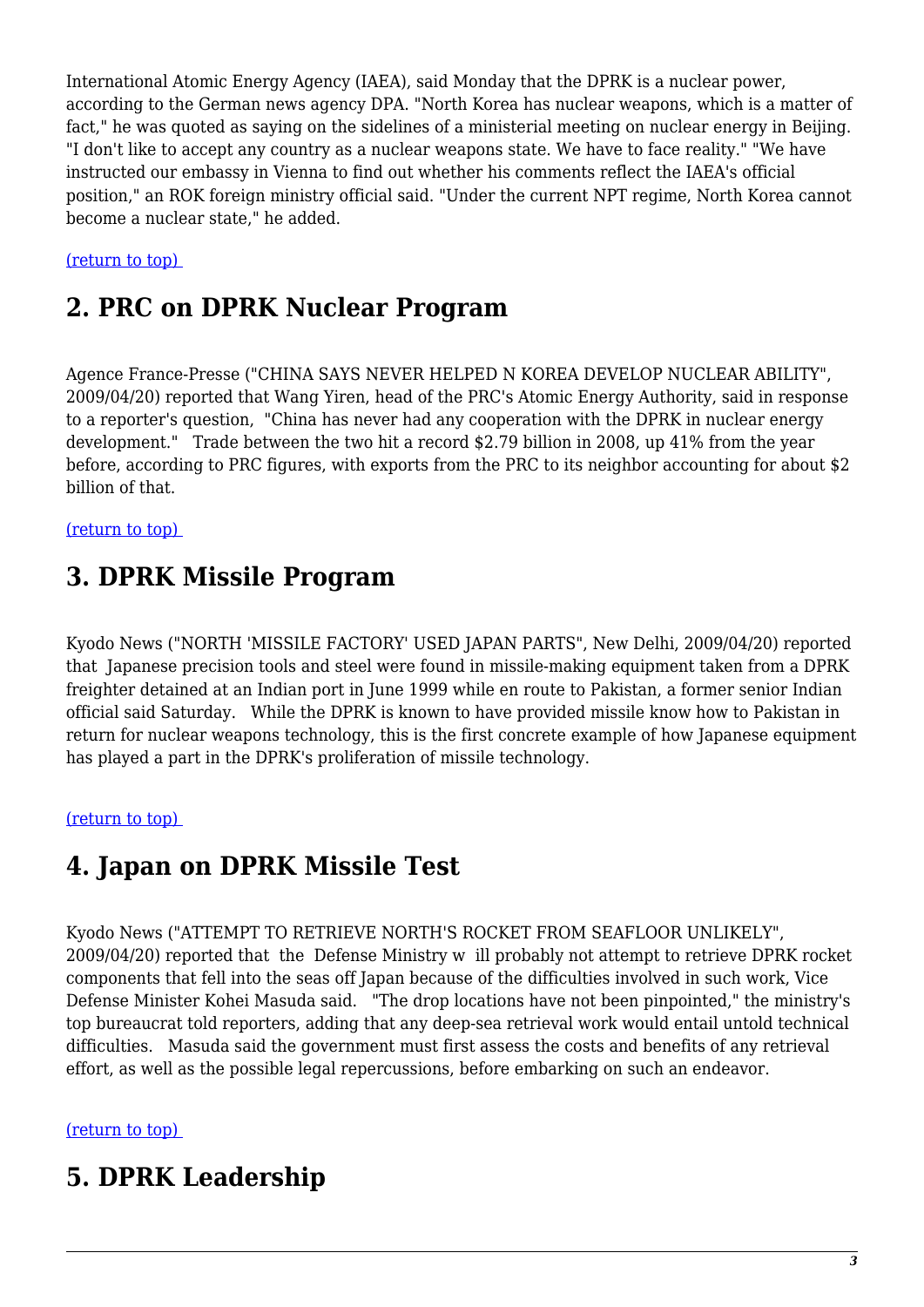International Atomic Energy Agency (IAEA), said Monday that the DPRK is a nuclear power, according to the German news agency DPA. "North Korea has nuclear weapons, which is a matter of fact," he was quoted as saying on the sidelines of a ministerial meeting on nuclear energy in Beijing. "I don't like to accept any country as a nuclear weapons state. We have to face reality." "We have instructed our embassy in Vienna to find out whether his comments reflect the IAEA's official position," an ROK foreign ministry official said. "Under the current NPT regime, North Korea cannot become a nuclear state," he added.

<span id="page-2-0"></span>[\(return to top\)](#page-0-0) 

### **2. PRC on DPRK Nuclear Program**

Agence France-Presse ("CHINA SAYS NEVER HELPED N KOREA DEVELOP NUCLEAR ABILITY", 2009/04/20) reported that Wang Yiren, head of the PRC's Atomic Energy Authority, said in response to a reporter's question, "China has never had any cooperation with the DPRK in nuclear energy development." Trade between the two hit a record \$2.79 billion in 2008, up 41% from the year before, according to PRC figures, with exports from the PRC to its neighbor accounting for about \$2 billion of that.

<span id="page-2-1"></span>[\(return to top\)](#page-0-0) 

### **3. DPRK Missile Program**

Kyodo News ("NORTH 'MISSILE FACTORY' USED JAPAN PARTS", New Delhi, 2009/04/20) reported that Japanese precision tools and steel were found in missile-making equipment taken from a DPRK freighter detained at an Indian port in June 1999 while en route to Pakistan, a former senior Indian official said Saturday. While the DPRK is known to have provided missile know how to Pakistan in return for nuclear weapons technology, this is the first concrete example of how Japanese equipment has played a part in the DPRK's proliferation of missile technology.

#### <span id="page-2-2"></span>[\(return to top\)](#page-0-0)

#### **4. Japan on DPRK Missile Test**

Kyodo News ("ATTEMPT TO RETRIEVE NORTH'S ROCKET FROM SEAFLOOR UNLIKELY", 2009/04/20) reported that the Defense Ministry w ill probably not attempt to retrieve DPRK rocket components that fell into the seas off Japan because of the difficulties involved in such work, Vice Defense Minister Kohei Masuda said. "The drop locations have not been pinpointed," the ministry's top bureaucrat told reporters, adding that any deep-sea retrieval work would entail untold technical difficulties. Masuda said the government must first assess the costs and benefits of any retrieval effort, as well as the possible legal repercussions, before embarking on such an endeavor.

#### <span id="page-2-3"></span>[\(return to top\)](#page-0-0)

#### **5. DPRK Leadership**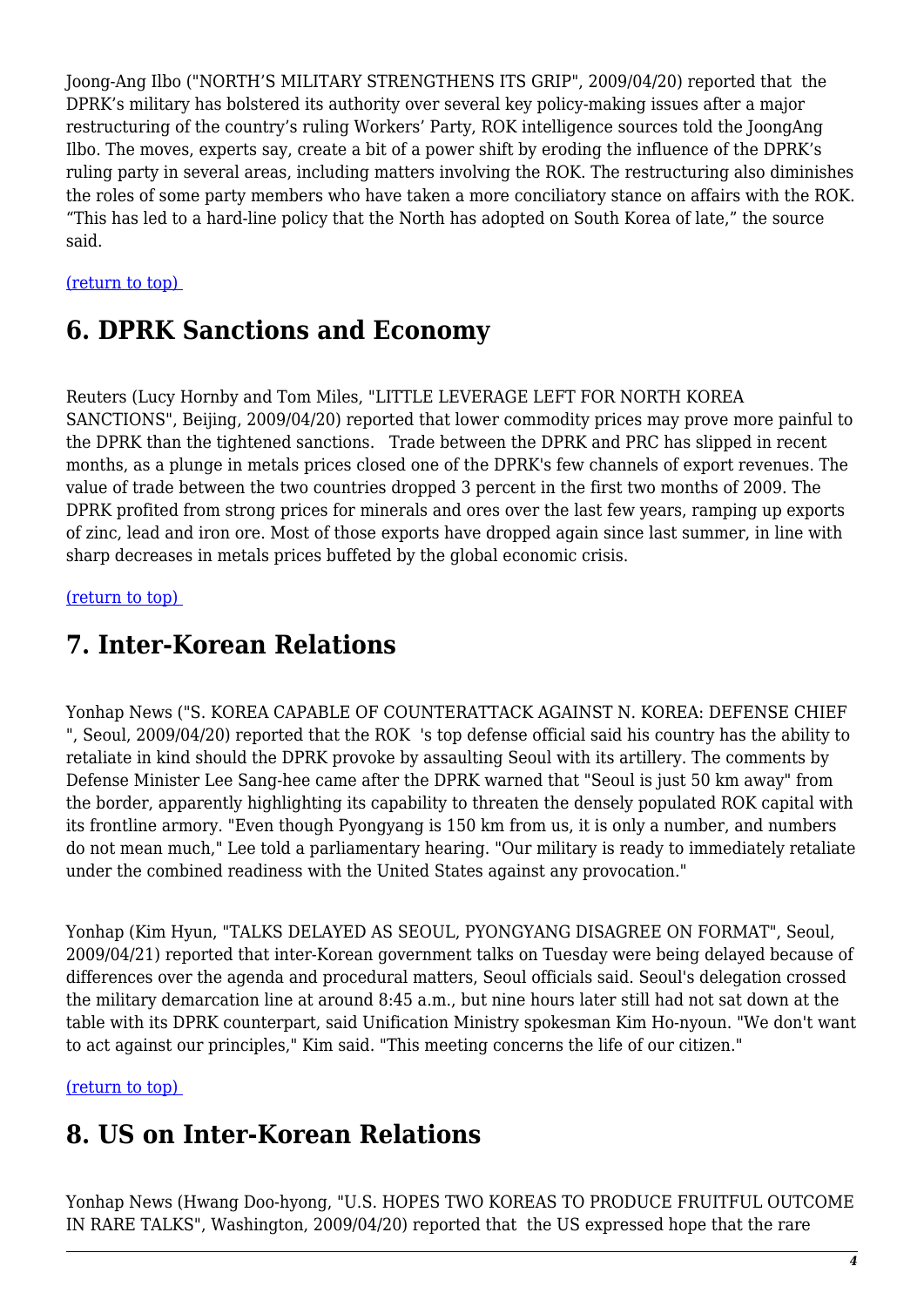Joong-Ang Ilbo ("NORTH'S MILITARY STRENGTHENS ITS GRIP", 2009/04/20) reported that the DPRK's military has bolstered its authority over several key policy-making issues after a major restructuring of the country's ruling Workers' Party, ROK intelligence sources told the JoongAng Ilbo. The moves, experts say, create a bit of a power shift by eroding the influence of the DPRK's ruling party in several areas, including matters involving the ROK. The restructuring also diminishes the roles of some party members who have taken a more conciliatory stance on affairs with the ROK. "This has led to a hard-line policy that the North has adopted on South Korea of late," the source said.

#### <span id="page-3-0"></span>[\(return to top\)](#page-0-0)

#### **6. DPRK Sanctions and Economy**

Reuters (Lucy Hornby and Tom Miles, "LITTLE LEVERAGE LEFT FOR NORTH KOREA SANCTIONS", Beijing, 2009/04/20) reported that lower commodity prices may prove more painful to the DPRK than the tightened sanctions. Trade between the DPRK and PRC has slipped in recent months, as a plunge in metals prices closed one of the DPRK's few channels of export revenues. The value of trade between the two countries dropped 3 percent in the first two months of 2009. The DPRK profited from strong prices for minerals and ores over the last few years, ramping up exports of zinc, lead and iron ore. Most of those exports have dropped again since last summer, in line with sharp decreases in metals prices buffeted by the global economic crisis.

#### <span id="page-3-1"></span>[\(return to top\)](#page-0-0)

#### **7. Inter-Korean Relations**

Yonhap News ("S. KOREA CAPABLE OF COUNTERATTACK AGAINST N. KOREA: DEFENSE CHIEF ", Seoul, 2009/04/20) reported that the ROK 's top defense official said his country has the ability to retaliate in kind should the DPRK provoke by assaulting Seoul with its artillery. The comments by Defense Minister Lee Sang-hee came after the DPRK warned that "Seoul is just 50 km away" from the border, apparently highlighting its capability to threaten the densely populated ROK capital with its frontline armory. "Even though Pyongyang is 150 km from us, it is only a number, and numbers do not mean much," Lee told a parliamentary hearing. "Our military is ready to immediately retaliate under the combined readiness with the United States against any provocation."

Yonhap (Kim Hyun, "TALKS DELAYED AS SEOUL, PYONGYANG DISAGREE ON FORMAT", Seoul, 2009/04/21) reported that inter-Korean government talks on Tuesday were being delayed because of differences over the agenda and procedural matters, Seoul officials said. Seoul's delegation crossed the military demarcation line at around 8:45 a.m., but nine hours later still had not sat down at the table with its DPRK counterpart, said Unification Ministry spokesman Kim Ho-nyoun. "We don't want to act against our principles," Kim said. "This meeting concerns the life of our citizen."

<span id="page-3-2"></span>[\(return to top\)](#page-0-0) 

### **8. US on Inter-Korean Relations**

Yonhap News (Hwang Doo-hyong, "U.S. HOPES TWO KOREAS TO PRODUCE FRUITFUL OUTCOME IN RARE TALKS", Washington, 2009/04/20) reported that the US expressed hope that the rare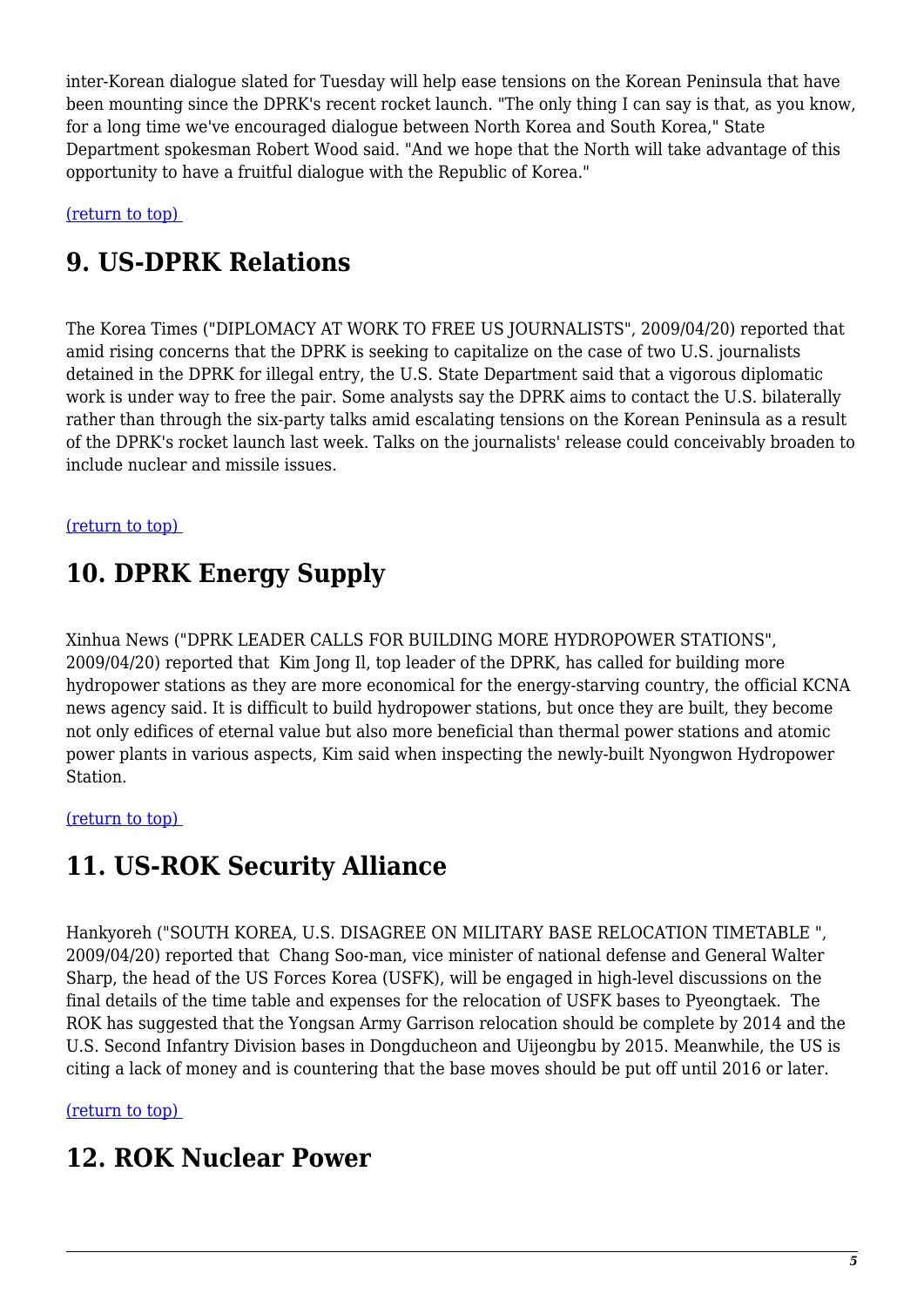inter-Korean dialogue slated for Tuesday will help ease tensions on the Korean Peninsula that have been mounting since the DPRK's recent rocket launch. "The only thing I can say is that, as you know, for a long time we've encouraged dialogue between North Korea and South Korea," State Department spokesman Robert Wood said. "And we hope that the North will take advantage of this opportunity to have a fruitful dialogue with the Republic of Korea."

<span id="page-4-0"></span>[\(return to top\)](#page-0-0) 

### **9. US-DPRK Relations**

The Korea Times ("DIPLOMACY AT WORK TO FREE US JOURNALISTS", 2009/04/20) reported that amid rising concerns that the DPRK is seeking to capitalize on the case of two U.S. journalists detained in the DPRK for illegal entry, the U.S. State Department said that a vigorous diplomatic work is under way to free the pair. Some analysts say the DPRK aims to contact the U.S. bilaterally rather than through the six-party talks amid escalating tensions on the Korean Peninsula as a result of the DPRK's rocket launch last week. Talks on the journalists' release could conceivably broaden to include nuclear and missile issues.

#### <span id="page-4-1"></span>[\(return to top\)](#page-0-0)

# **10. DPRK Energy Supply**

Xinhua News ("DPRK LEADER CALLS FOR BUILDING MORE HYDROPOWER STATIONS", 2009/04/20) reported that Kim Jong Il, top leader of the DPRK, has called for building more hydropower stations as they are more economical for the energy-starving country, the official KCNA news agency said. It is difficult to build hydropower stations, but once they are built, they become not only edifices of eternal value but also more beneficial than thermal power stations and atomic power plants in various aspects, Kim said when inspecting the newly-built Nyongwon Hydropower Station.

#### <span id="page-4-2"></span>[\(return to top\)](#page-0-0)

#### **11. US-ROK Security Alliance**

Hankyoreh ("SOUTH KOREA, U.S. DISAGREE ON MILITARY BASE RELOCATION TIMETABLE ", 2009/04/20) reported that Chang Soo-man, vice minister of national defense and General Walter Sharp, the head of the US Forces Korea (USFK), will be engaged in high-level discussions on the final details of the time table and expenses for the relocation of USFK bases to Pyeongtaek. The ROK has suggested that the Yongsan Army Garrison relocation should be complete by 2014 and the U.S. Second Infantry Division bases in Dongducheon and Uijeongbu by 2015. Meanwhile, the US is citing a lack of money and is countering that the base moves should be put off until 2016 or later.

#### <span id="page-4-3"></span>[\(return to top\)](#page-0-0)

#### **12. ROK Nuclear Power**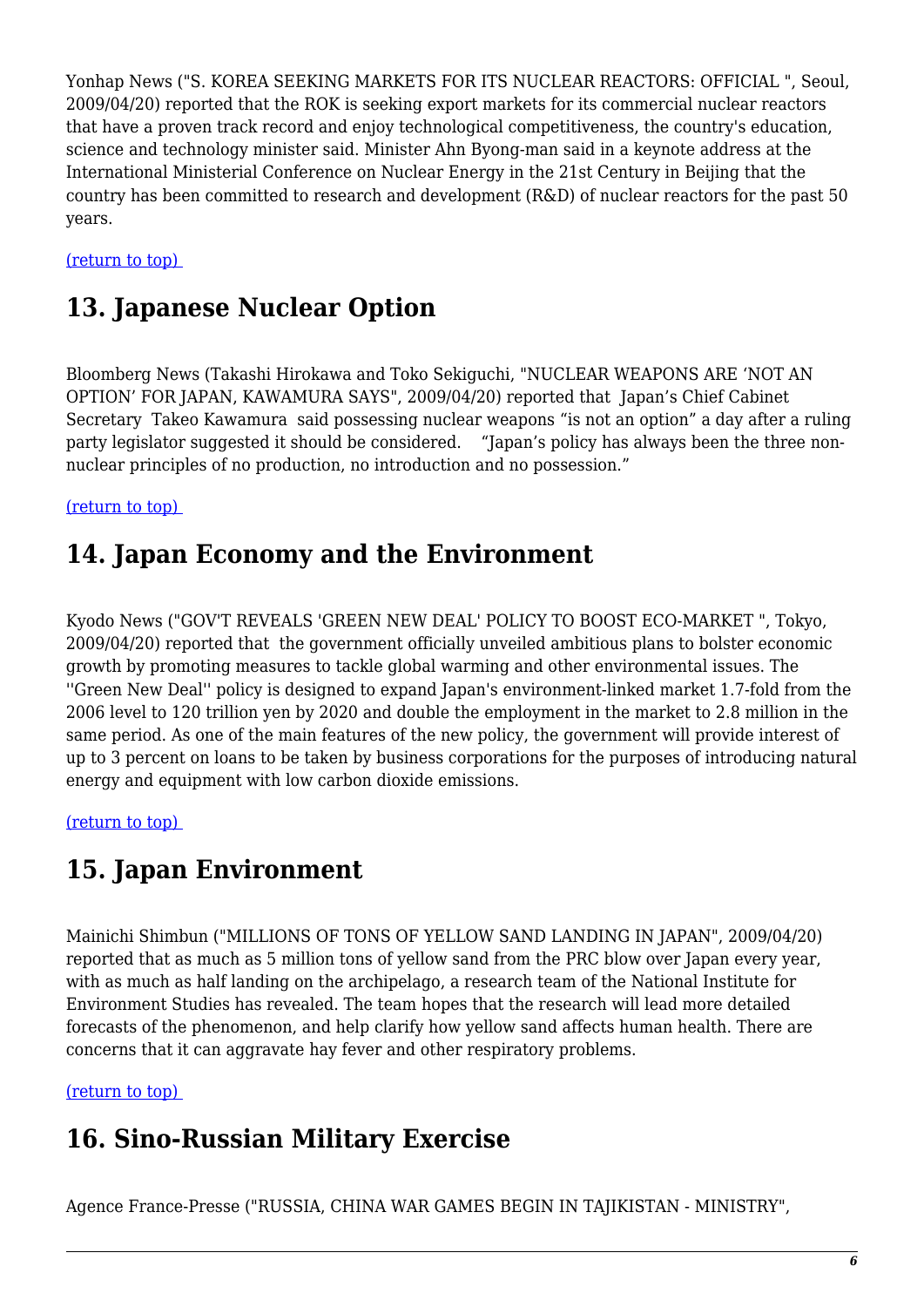Yonhap News ("S. KOREA SEEKING MARKETS FOR ITS NUCLEAR REACTORS: OFFICIAL ", Seoul, 2009/04/20) reported that the ROK is seeking export markets for its commercial nuclear reactors that have a proven track record and enjoy technological competitiveness, the country's education, science and technology minister said. Minister Ahn Byong-man said in a keynote address at the International Ministerial Conference on Nuclear Energy in the 21st Century in Beijing that the country has been committed to research and development (R&D) of nuclear reactors for the past 50 years.

<span id="page-5-0"></span>[\(return to top\)](#page-0-0) 

# **13. Japanese Nuclear Option**

Bloomberg News (Takashi Hirokawa and Toko Sekiguchi, "NUCLEAR WEAPONS ARE 'NOT AN OPTION' FOR JAPAN, KAWAMURA SAYS", 2009/04/20) reported that Japan's Chief Cabinet Secretary Takeo Kawamura said possessing nuclear weapons "is not an option" a day after a ruling party legislator suggested it should be considered. "Japan's policy has always been the three nonnuclear principles of no production, no introduction and no possession."

<span id="page-5-1"></span>[\(return to top\)](#page-0-0) 

#### **14. Japan Economy and the Environment**

Kyodo News ("GOV'T REVEALS 'GREEN NEW DEAL' POLICY TO BOOST ECO-MARKET ", Tokyo, 2009/04/20) reported that the government officially unveiled ambitious plans to bolster economic growth by promoting measures to tackle global warming and other environmental issues. The ''Green New Deal'' policy is designed to expand Japan's environment-linked market 1.7-fold from the 2006 level to 120 trillion yen by 2020 and double the employment in the market to 2.8 million in the same period. As one of the main features of the new policy, the government will provide interest of up to 3 percent on loans to be taken by business corporations for the purposes of introducing natural energy and equipment with low carbon dioxide emissions.

<span id="page-5-2"></span>[\(return to top\)](#page-0-0) 

# **15. Japan Environment**

Mainichi Shimbun ("MILLIONS OF TONS OF YELLOW SAND LANDING IN JAPAN", 2009/04/20) reported that as much as 5 million tons of yellow sand from the PRC blow over Japan every year, with as much as half landing on the archipelago, a research team of the National Institute for Environment Studies has revealed. The team hopes that the research will lead more detailed forecasts of the phenomenon, and help clarify how yellow sand affects human health. There are concerns that it can aggravate hay fever and other respiratory problems.

<span id="page-5-3"></span>[\(return to top\)](#page-0-0) 

# **16. Sino-Russian Military Exercise**

Agence France-Presse ("RUSSIA, CHINA WAR GAMES BEGIN IN TAJIKISTAN - MINISTRY",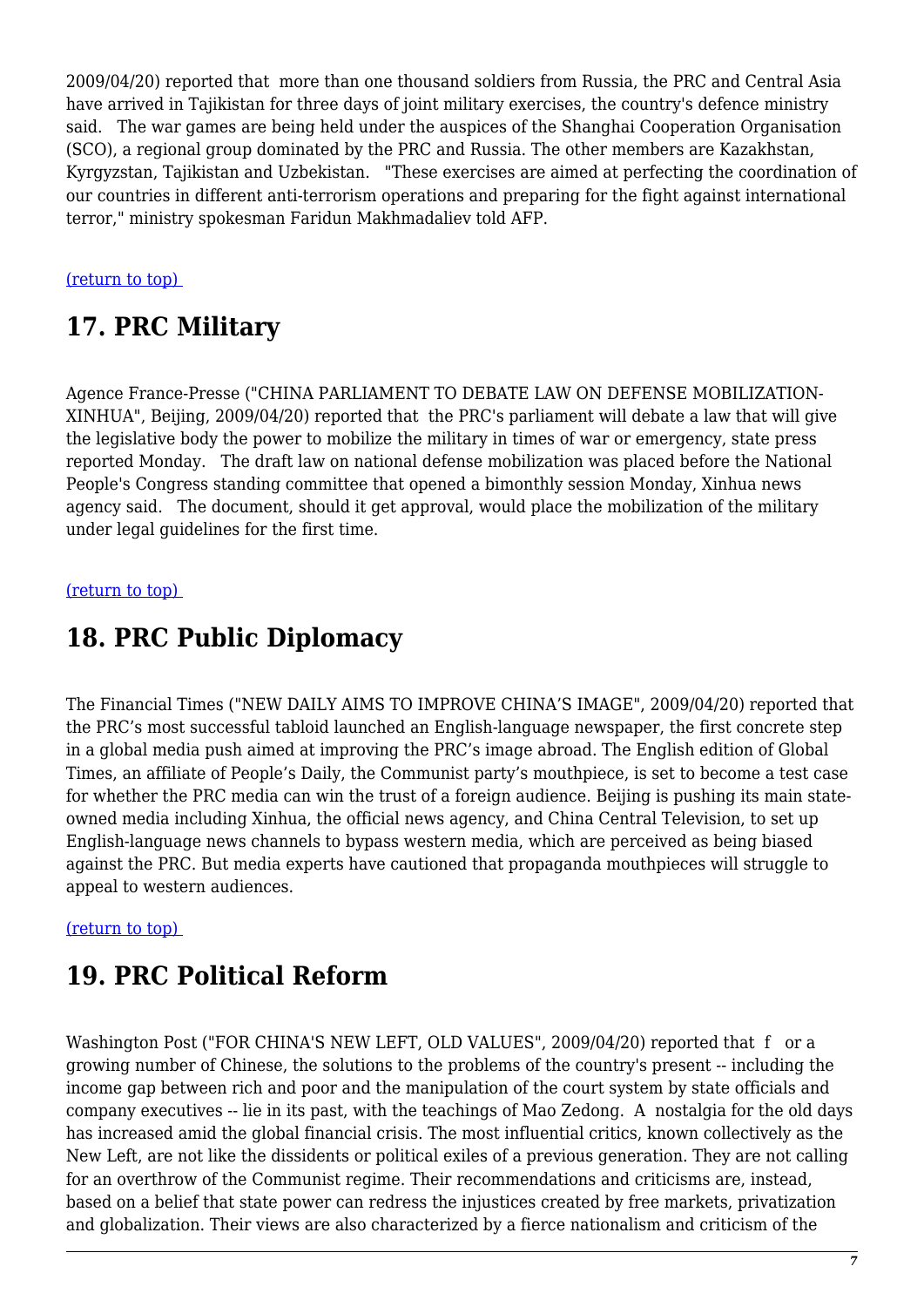2009/04/20) reported that more than one thousand soldiers from Russia, the PRC and Central Asia have arrived in Tajikistan for three days of joint military exercises, the country's defence ministry said. The war games are being held under the auspices of the Shanghai Cooperation Organisation (SCO), a regional group dominated by the PRC and Russia. The other members are Kazakhstan, Kyrgyzstan, Tajikistan and Uzbekistan. "These exercises are aimed at perfecting the coordination of our countries in different anti-terrorism operations and preparing for the fight against international terror," ministry spokesman Faridun Makhmadaliev told AFP.

#### <span id="page-6-0"></span>[\(return to top\)](#page-0-0)

### **17. PRC Military**

Agence France-Presse ("CHINA PARLIAMENT TO DEBATE LAW ON DEFENSE MOBILIZATION-XINHUA", Beijing, 2009/04/20) reported that the PRC's parliament will debate a law that will give the legislative body the power to mobilize the military in times of war or emergency, state press reported Monday. The draft law on national defense mobilization was placed before the National People's Congress standing committee that opened a bimonthly session Monday, Xinhua news agency said. The document, should it get approval, would place the mobilization of the military under legal guidelines for the first time.

#### <span id="page-6-1"></span>[\(return to top\)](#page-0-0)

### **18. PRC Public Diplomacy**

The Financial Times ("NEW DAILY AIMS TO IMPROVE CHINA'S IMAGE", 2009/04/20) reported that the PRC's most successful tabloid launched an English-language newspaper, the first concrete step in a global media push aimed at improving the PRC's image abroad. The English edition of Global Times, an affiliate of People's Daily, the Communist party's mouthpiece, is set to become a test case for whether the PRC media can win the trust of a foreign audience. Beijing is pushing its main stateowned media including Xinhua, the official news agency, and China Central Television, to set up English-language news channels to bypass western media, which are perceived as being biased against the PRC. But media experts have cautioned that propaganda mouthpieces will struggle to appeal to western audiences.

#### <span id="page-6-2"></span>[\(return to top\)](#page-0-0)

# **19. PRC Political Reform**

Washington Post ("FOR CHINA'S NEW LEFT, OLD VALUES", 2009/04/20) reported that f or a growing number of Chinese, the solutions to the problems of the country's present -- including the income gap between rich and poor and the manipulation of the court system by state officials and company executives -- lie in its past, with the teachings of Mao Zedong. A nostalgia for the old days has increased amid the global financial crisis. The most influential critics, known collectively as the New Left, are not like the dissidents or political exiles of a previous generation. They are not calling for an overthrow of the Communist regime. Their recommendations and criticisms are, instead, based on a belief that state power can redress the injustices created by free markets, privatization and globalization. Their views are also characterized by a fierce nationalism and criticism of the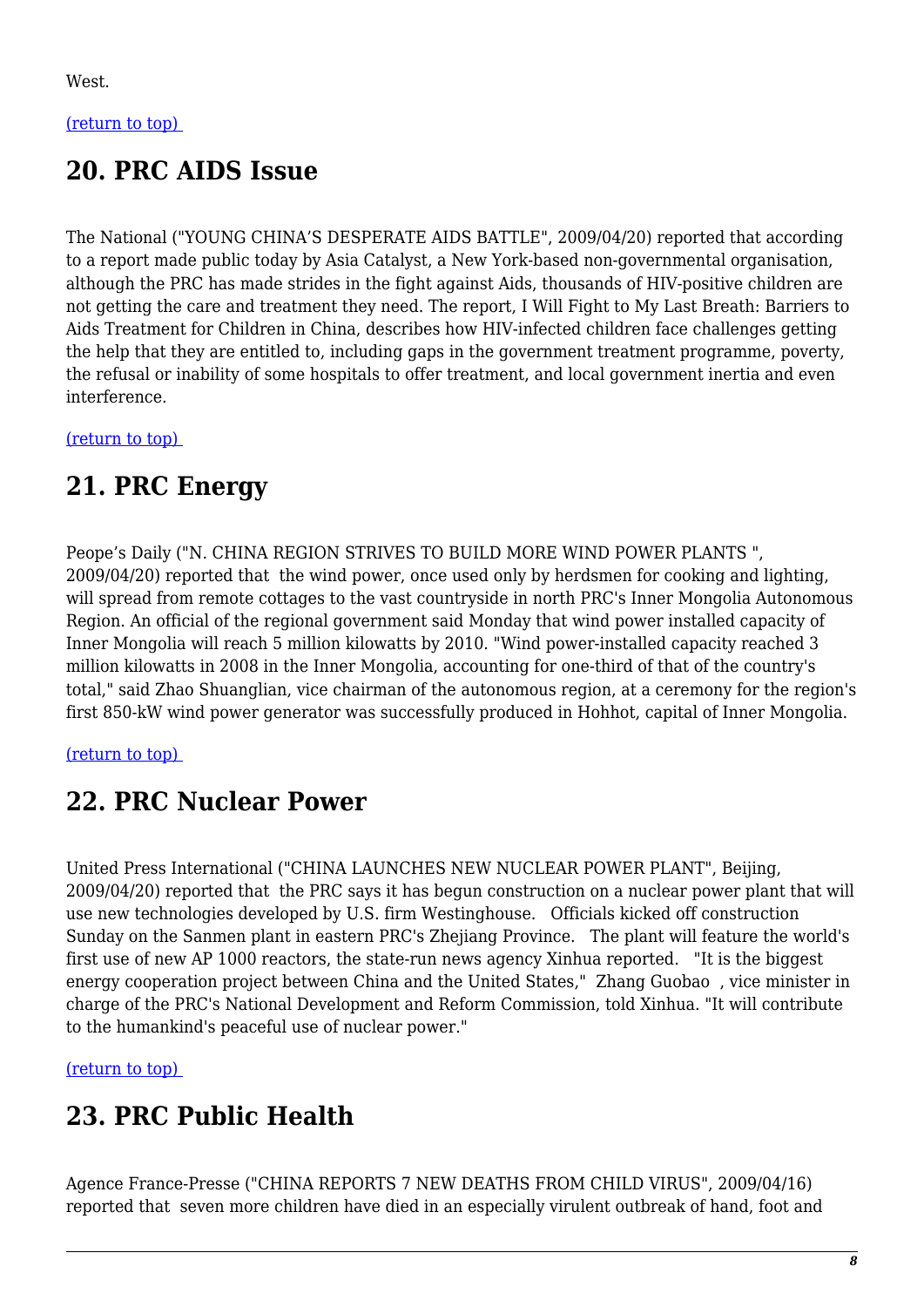#### <span id="page-7-0"></span>[\(return to top\)](#page-0-0)

### **20. PRC AIDS Issue**

The National ("YOUNG CHINA'S DESPERATE AIDS BATTLE", 2009/04/20) reported that according to a report made public today by Asia Catalyst, a New York-based non-governmental organisation, although the PRC has made strides in the fight against Aids, thousands of HIV-positive children are not getting the care and treatment they need. The report, I Will Fight to My Last Breath: Barriers to Aids Treatment for Children in China, describes how HIV-infected children face challenges getting the help that they are entitled to, including gaps in the government treatment programme, poverty, the refusal or inability of some hospitals to offer treatment, and local government inertia and even interference.

<span id="page-7-1"></span>[\(return to top\)](#page-0-0) 

# **21. PRC Energy**

Peope's Daily ("N. CHINA REGION STRIVES TO BUILD MORE WIND POWER PLANTS ", 2009/04/20) reported that the wind power, once used only by herdsmen for cooking and lighting, will spread from remote cottages to the vast countryside in north PRC's Inner Mongolia Autonomous Region. An official of the regional government said Monday that wind power installed capacity of Inner Mongolia will reach 5 million kilowatts by 2010. "Wind power-installed capacity reached 3 million kilowatts in 2008 in the Inner Mongolia, accounting for one-third of that of the country's total," said Zhao Shuanglian, vice chairman of the autonomous region, at a ceremony for the region's first 850-kW wind power generator was successfully produced in Hohhot, capital of Inner Mongolia.

#### <span id="page-7-2"></span>[\(return to top\)](#page-0-0)

#### **22. PRC Nuclear Power**

United Press International ("CHINA LAUNCHES NEW NUCLEAR POWER PLANT", Beijing, 2009/04/20) reported that the PRC says it has begun construction on a nuclear power plant that will use new technologies developed by U.S. firm Westinghouse. Officials kicked off construction Sunday on the Sanmen plant in eastern PRC's Zhejiang Province. The plant will feature the world's first use of new AP 1000 reactors, the state-run news agency Xinhua reported. "It is the biggest energy cooperation project between China and the United States," Zhang Guobao , vice minister in charge of the PRC's National Development and Reform Commission, told Xinhua. "It will contribute to the humankind's peaceful use of nuclear power."

<span id="page-7-3"></span>[\(return to top\)](#page-0-0) 

# **23. PRC Public Health**

Agence France-Presse ("CHINA REPORTS 7 NEW DEATHS FROM CHILD VIRUS", 2009/04/16) reported that seven more children have died in an especially virulent outbreak of hand, foot and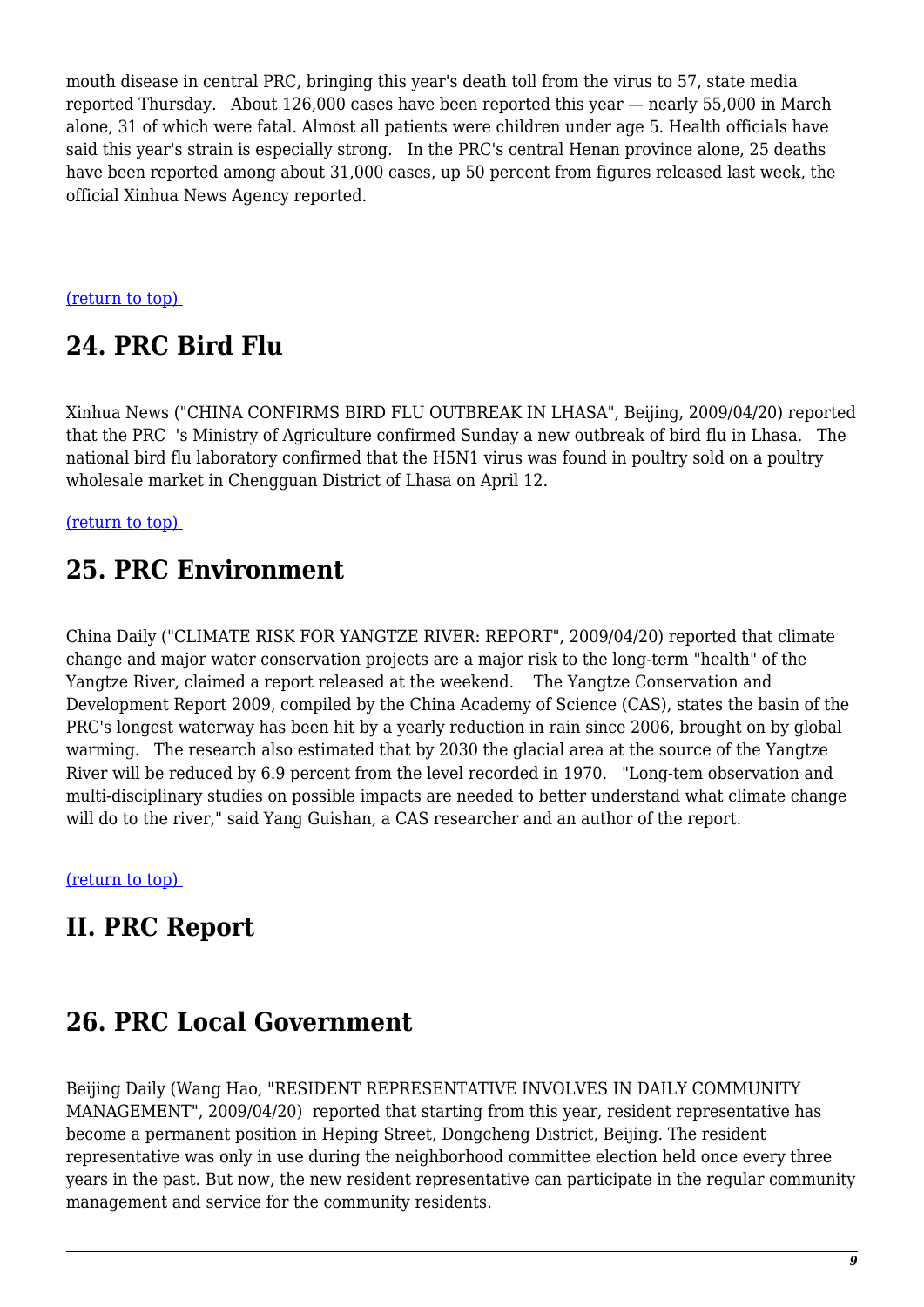mouth disease in central PRC, bringing this year's death toll from the virus to 57, state media reported Thursday. About 126,000 cases have been reported this year — nearly 55,000 in March alone, 31 of which were fatal. Almost all patients were children under age 5. Health officials have said this year's strain is especially strong. In the PRC's central Henan province alone, 25 deaths have been reported among about 31,000 cases, up 50 percent from figures released last week, the official Xinhua News Agency reported.

<span id="page-8-0"></span>[\(return to top\)](#page-0-0) 

# **24. PRC Bird Flu**

Xinhua News ("CHINA CONFIRMS BIRD FLU OUTBREAK IN LHASA", Beijing, 2009/04/20) reported that the PRC 's Ministry of Agriculture confirmed Sunday a new outbreak of bird flu in Lhasa. The national bird flu laboratory confirmed that the H5N1 virus was found in poultry sold on a poultry wholesale market in Chengguan District of Lhasa on April 12.

<span id="page-8-1"></span>[\(return to top\)](#page-0-0) 

### **25. PRC Environment**

China Daily ("CLIMATE RISK FOR YANGTZE RIVER: REPORT", 2009/04/20) reported that climate change and major water conservation projects are a major risk to the long-term "health" of the Yangtze River, claimed a report released at the weekend. The Yangtze Conservation and Development Report 2009, compiled by the China Academy of Science (CAS), states the basin of the PRC's longest waterway has been hit by a yearly reduction in rain since 2006, brought on by global warming. The research also estimated that by 2030 the glacial area at the source of the Yangtze River will be reduced by 6.9 percent from the level recorded in 1970. "Long-tem observation and multi-disciplinary studies on possible impacts are needed to better understand what climate change will do to the river," said Yang Guishan, a CAS researcher and an author of the report.

[\(return to top\)](#page-0-0) 

### **II. PRC Report**

#### <span id="page-8-2"></span>**26. PRC Local Government**

<span id="page-8-3"></span>Beijing Daily (Wang Hao, "RESIDENT REPRESENTATIVE INVOLVES IN DAILY COMMUNITY MANAGEMENT", 2009/04/20) reported that starting from this year, resident representative has become a permanent position in Heping Street, Dongcheng District, Beijing. The resident representative was only in use during the neighborhood committee election held once every three years in the past. But now, the new resident representative can participate in the regular community management and service for the community residents.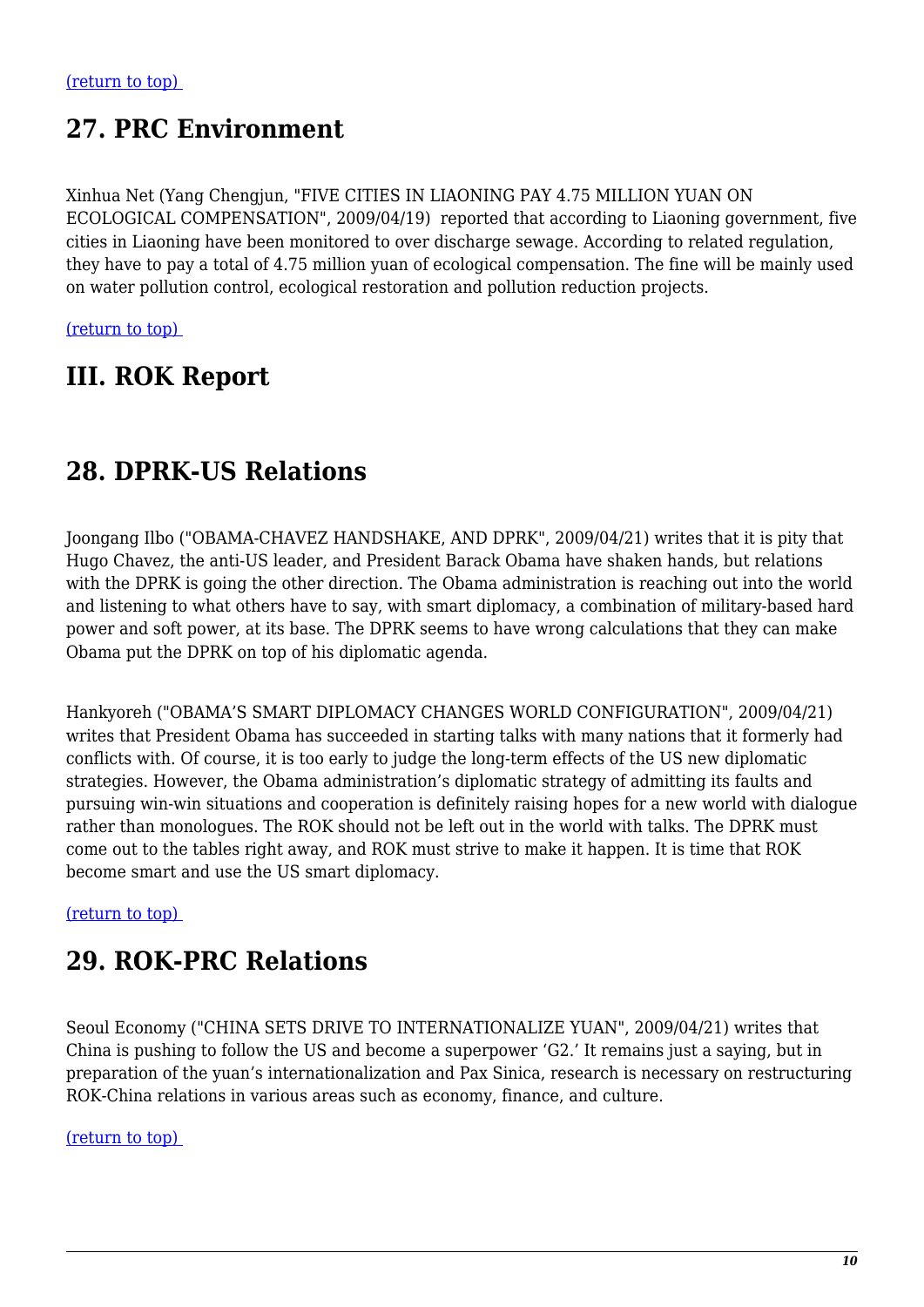### **27. PRC Environment**

Xinhua Net (Yang Chengjun, "FIVE CITIES IN LIAONING PAY 4.75 MILLION YUAN ON ECOLOGICAL COMPENSATION", 2009/04/19) reported that according to Liaoning government, five cities in Liaoning have been monitored to over discharge sewage. According to related regulation, they have to pay a total of 4.75 million yuan of ecological compensation. The fine will be mainly used on water pollution control, ecological restoration and pollution reduction projects.

[\(return to top\)](#page-0-0) 

### **III. ROK Report**

### <span id="page-9-0"></span>**28. DPRK-US Relations**

Joongang Ilbo ("OBAMA-CHAVEZ HANDSHAKE, AND DPRK", 2009/04/21) writes that it is pity that Hugo Chavez, the anti-US leader, and President Barack Obama have shaken hands, but relations with the DPRK is going the other direction. The Obama administration is reaching out into the world and listening to what others have to say, with smart diplomacy, a combination of military-based hard power and soft power, at its base. The DPRK seems to have wrong calculations that they can make Obama put the DPRK on top of his diplomatic agenda.

Hankyoreh ("OBAMA'S SMART DIPLOMACY CHANGES WORLD CONFIGURATION", 2009/04/21) writes that President Obama has succeeded in starting talks with many nations that it formerly had conflicts with. Of course, it is too early to judge the long-term effects of the US new diplomatic strategies. However, the Obama administration's diplomatic strategy of admitting its faults and pursuing win-win situations and cooperation is definitely raising hopes for a new world with dialogue rather than monologues. The ROK should not be left out in the world with talks. The DPRK must come out to the tables right away, and ROK must strive to make it happen. It is time that ROK become smart and use the US smart diplomacy.

<span id="page-9-1"></span>[\(return to top\)](#page-0-0) 

### **29. ROK-PRC Relations**

Seoul Economy ("CHINA SETS DRIVE TO INTERNATIONALIZE YUAN", 2009/04/21) writes that China is pushing to follow the US and become a superpower 'G2.' It remains just a saying, but in preparation of the yuan's internationalization and Pax Sinica, research is necessary on restructuring ROK-China relations in various areas such as economy, finance, and culture.

#### <span id="page-9-2"></span>[\(return to top\)](#page-0-0)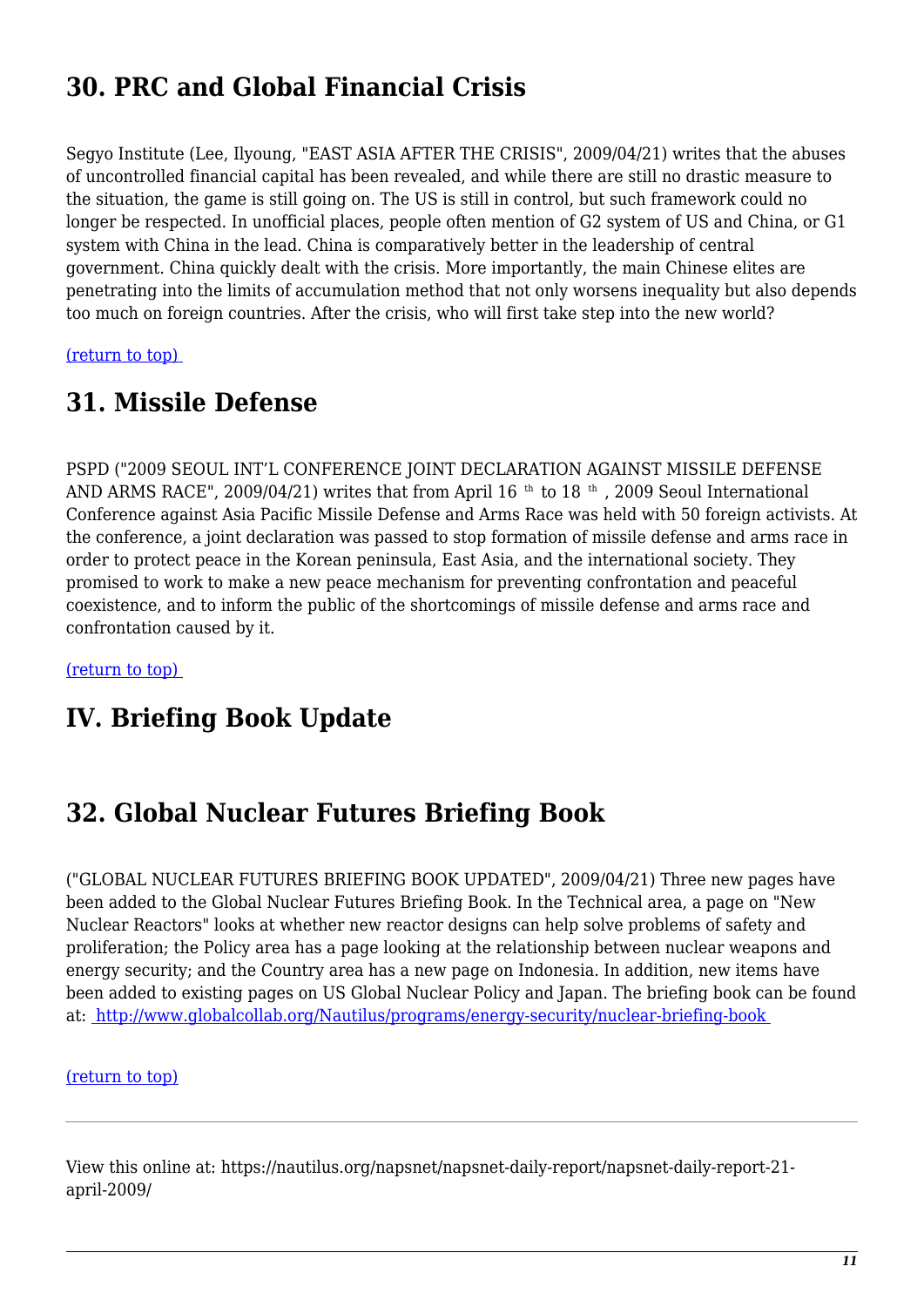# **30. PRC and Global Financial Crisis**

Segyo Institute (Lee, Ilyoung, "EAST ASIA AFTER THE CRISIS", 2009/04/21) writes that the abuses of uncontrolled financial capital has been revealed, and while there are still no drastic measure to the situation, the game is still going on. The US is still in control, but such framework could no longer be respected. In unofficial places, people often mention of G2 system of US and China, or G1 system with China in the lead. China is comparatively better in the leadership of central government. China quickly dealt with the crisis. More importantly, the main Chinese elites are penetrating into the limits of accumulation method that not only worsens inequality but also depends too much on foreign countries. After the crisis, who will first take step into the new world?

<span id="page-10-0"></span>[\(return to top\)](#page-0-0) 

#### **31. Missile Defense**

PSPD ("2009 SEOUL INT'L CONFERENCE JOINT DECLARATION AGAINST MISSILE DEFENSE AND ARMS RACE", 2009/04/21) writes that from April 16<sup>th</sup> to 18<sup>th</sup>, 2009 Seoul International Conference against Asia Pacific Missile Defense and Arms Race was held with 50 foreign activists. At the conference, a joint declaration was passed to stop formation of missile defense and arms race in order to protect peace in the Korean peninsula, East Asia, and the international society. They promised to work to make a new peace mechanism for preventing confrontation and peaceful coexistence, and to inform the public of the shortcomings of missile defense and arms race and confrontation caused by it.

[\(return to top\)](#page-0-0) 

#### **IV. Briefing Book Update**

#### <span id="page-10-1"></span>**32. Global Nuclear Futures Briefing Book**

("GLOBAL NUCLEAR FUTURES BRIEFING BOOK UPDATED", 2009/04/21) Three new pages have been added to the Global Nuclear Futures Briefing Book. In the Technical area, a page on "New Nuclear Reactors" looks at whether new reactor designs can help solve problems of safety and proliferation; the Policy area has a page looking at the relationship between nuclear weapons and energy security; and the Country area has a new page on Indonesia. In addition, new items have been added to existing pages on US Global Nuclear Policy and Japan. The briefing book can be found at: [http://www.globalcollab.org/Nautilus/programs/energy-security/nuclear-briefing-book](http://nautilus.org/programs/energy-security/nuclear-briefing-book.html) 

[\(return to top\)](#page-0-0)

View this online at: https://nautilus.org/napsnet/napsnet-daily-report/napsnet-daily-report-21 april-2009/